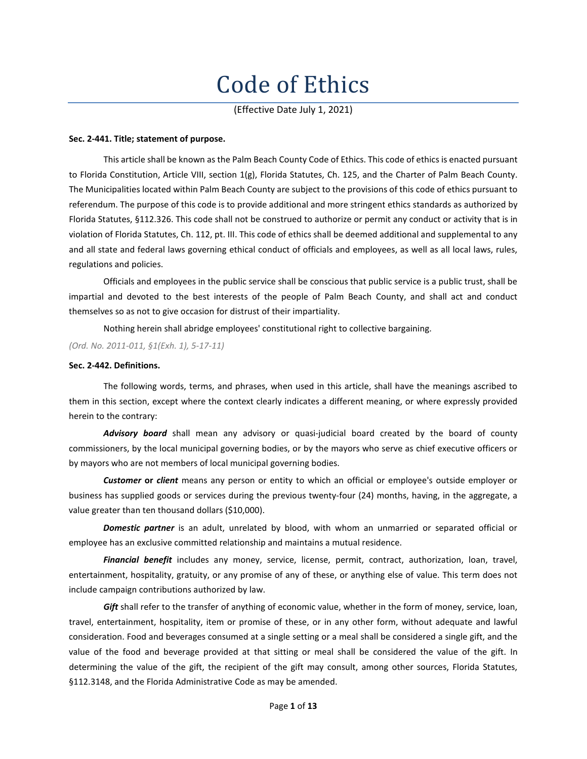# Code of Ethics

(Effective Date July 1, 2021)

#### **Sec. 2-441. Title; statement of purpose.**

This article shall be known as the Palm Beach County Code of Ethics. This code of ethics is enacted pursuant to Florida Constitution, Article VIII, section 1(g), Florida Statutes, Ch. 125, and the Charter of Palm Beach County. The Municipalities located within Palm Beach County are subject to the provisions of this code of ethics pursuant to referendum. The purpose of this code is to provide additional and more stringent ethics standards as authorized by Florida Statutes, §112.326. This code shall not be construed to authorize or permit any conduct or activity that is in violation of Florida Statutes, Ch. 112, pt. III. This code of ethics shall be deemed additional and supplemental to any and all state and federal laws governing ethical conduct of officials and employees, as well as all local laws, rules, regulations and policies.

Officials and employees in the public service shall be conscious that public service is a public trust, shall be impartial and devoted to the best interests of the people of Palm Beach County, and shall act and conduct themselves so as not to give occasion for distrust of their impartiality.

Nothing herein shall abridge employees' constitutional right to collective bargaining.

*(Ord. No. 2011-011, §1(Exh. 1), 5-17-11)*

# **Sec. 2-442. Definitions.**

The following words, terms, and phrases, when used in this article, shall have the meanings ascribed to them in this section, except where the context clearly indicates a different meaning, or where expressly provided herein to the contrary:

*Advisory board* shall mean any advisory or quasi-judicial board created by the board of county commissioners, by the local municipal governing bodies, or by the mayors who serve as chief executive officers or by mayors who are not members of local municipal governing bodies.

*Customer* **or** *client* means any person or entity to which an official or employee's outside employer or business has supplied goods or services during the previous twenty-four (24) months, having, in the aggregate, a value greater than ten thousand dollars (\$10,000).

*Domestic partner* is an adult, unrelated by blood, with whom an unmarried or separated official or employee has an exclusive committed relationship and maintains a mutual residence.

*Financial benefit* includes any money, service, license, permit, contract, authorization, loan, travel, entertainment, hospitality, gratuity, or any promise of any of these, or anything else of value. This term does not include campaign contributions authorized by law.

*Gift* shall refer to the transfer of anything of economic value, whether in the form of money, service, loan, travel, entertainment, hospitality, item or promise of these, or in any other form, without adequate and lawful consideration. Food and beverages consumed at a single setting or a meal shall be considered a single gift, and the value of the food and beverage provided at that sitting or meal shall be considered the value of the gift. In determining the value of the gift, the recipient of the gift may consult, among other sources, Florida Statutes, §112.3148, and the Florida Administrative Code as may be amended.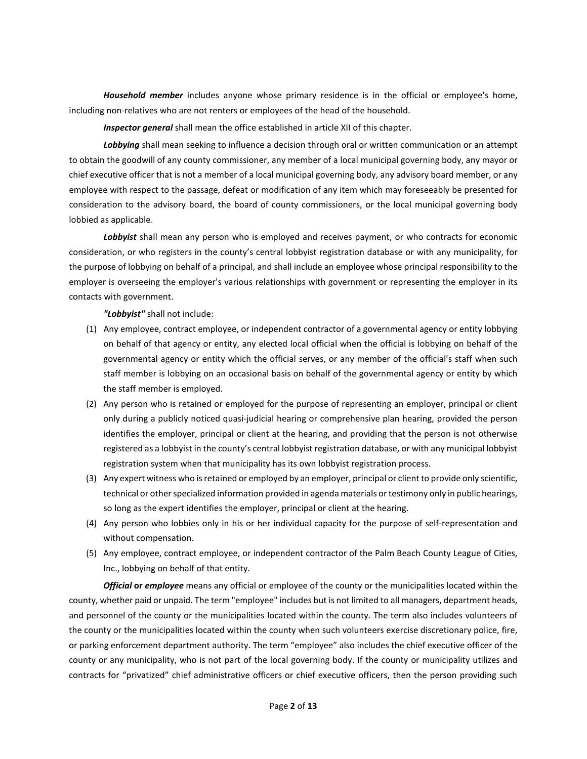*Household member* includes anyone whose primary residence is in the official or employee's home, including non-relatives who are not renters or employees of the head of the household.

*Inspector general* shall mean the office established in article XII of this chapter.

*Lobbying* shall mean seeking to influence a decision through oral or written communication or an attempt to obtain the goodwill of any county commissioner, any member of a local municipal governing body, any mayor or chief executive officer that is not a member of a local municipal governing body, any advisory board member, or any employee with respect to the passage, defeat or modification of any item which may foreseeably be presented for consideration to the advisory board, the board of county commissioners, or the local municipal governing body lobbied as applicable.

*Lobbyist* shall mean any person who is employed and receives payment, or who contracts for economic consideration, or who registers in the county's central lobbyist registration database or with any municipality, for the purpose of lobbying on behalf of a principal, and shall include an employee whose principal responsibility to the employer is overseeing the employer's various relationships with government or representing the employer in its contacts with government.

*"Lobbyist"* shall not include:

- (1) Any employee, contract employee, or independent contractor of a governmental agency or entity lobbying on behalf of that agency or entity, any elected local official when the official is lobbying on behalf of the governmental agency or entity which the official serves, or any member of the official's staff when such staff member is lobbying on an occasional basis on behalf of the governmental agency or entity by which the staff member is employed.
- (2) Any person who is retained or employed for the purpose of representing an employer, principal or client only during a publicly noticed quasi-judicial hearing or comprehensive plan hearing, provided the person identifies the employer, principal or client at the hearing, and providing that the person is not otherwise registered as a lobbyist in the county's central lobbyist registration database, or with any municipal lobbyist registration system when that municipality has its own lobbyist registration process.
- (3) Any expert witness who isretained or employed by an employer, principal or client to provide only scientific, technical or other specialized information provided in agenda materials or testimony only in public hearings, so long as the expert identifies the employer, principal or client at the hearing.
- (4) Any person who lobbies only in his or her individual capacity for the purpose of self-representation and without compensation.
- (5) Any employee, contract employee, or independent contractor of the Palm Beach County League of Cities, Inc., lobbying on behalf of that entity.

*Official* **or** *employee* means any official or employee of the county or the municipalities located within the county, whether paid or unpaid. The term "employee" includes but is not limited to all managers, department heads, and personnel of the county or the municipalities located within the county. The term also includes volunteers of the county or the municipalities located within the county when such volunteers exercise discretionary police, fire, or parking enforcement department authority. The term "employee" also includes the chief executive officer of the county or any municipality, who is not part of the local governing body. If the county or municipality utilizes and contracts for "privatized" chief administrative officers or chief executive officers, then the person providing such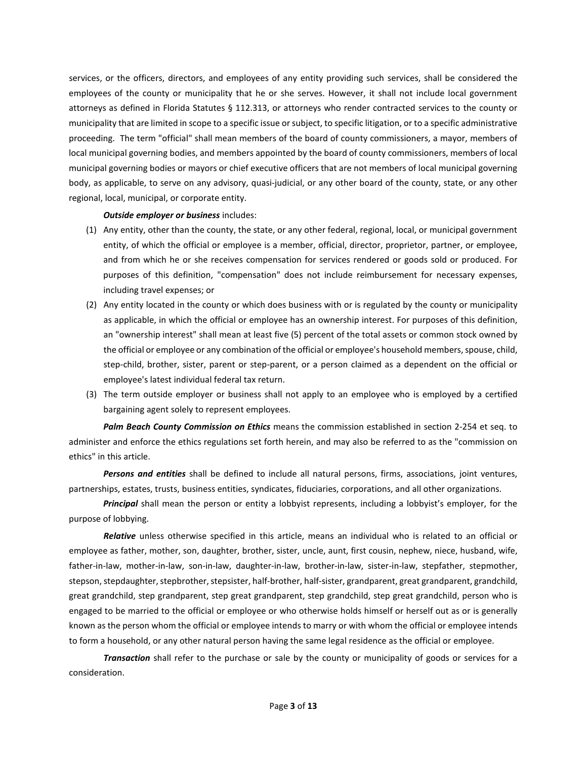services, or the officers, directors, and employees of any entity providing such services, shall be considered the employees of the county or municipality that he or she serves. However, it shall not include local government attorneys as defined in Florida Statutes § 112.313, or attorneys who render contracted services to the county or municipality that are limited in scope to a specific issue orsubject, to specific litigation, or to a specific administrative proceeding. The term "official" shall mean members of the board of county commissioners, a mayor, members of local municipal governing bodies, and members appointed by the board of county commissioners, members of local municipal governing bodies or mayors or chief executive officers that are not members of local municipal governing body, as applicable, to serve on any advisory, quasi-judicial, or any other board of the county, state, or any other regional, local, municipal, or corporate entity.

#### *Outside employer or business* includes:

- (1) Any entity, other than the county, the state, or any other federal, regional, local, or municipal government entity, of which the official or employee is a member, official, director, proprietor, partner, or employee, and from which he or she receives compensation for services rendered or goods sold or produced. For purposes of this definition, "compensation" does not include reimbursement for necessary expenses, including travel expenses; or
- (2) Any entity located in the county or which does business with or is regulated by the county or municipality as applicable, in which the official or employee has an ownership interest. For purposes of this definition, an "ownership interest" shall mean at least five (5) percent of the total assets or common stock owned by the official or employee or any combination of the official or employee's household members, spouse, child, step-child, brother, sister, parent or step-parent, or a person claimed as a dependent on the official or employee's latest individual federal tax return.
- (3) The term outside employer or business shall not apply to an employee who is employed by a certified bargaining agent solely to represent employees.

*Palm Beach County Commission on Ethics* means the commission established in section 2-254 et seq. to administer and enforce the ethics regulations set forth herein, and may also be referred to as the "commission on ethics" in this article.

*Persons and entities* shall be defined to include all natural persons, firms, associations, joint ventures, partnerships, estates, trusts, business entities, syndicates, fiduciaries, corporations, and all other organizations.

*Principal* shall mean the person or entity a lobbyist represents, including a lobbyist's employer, for the purpose of lobbying.

*Relative* unless otherwise specified in this article, means an individual who is related to an official or employee as father, mother, son, daughter, brother, sister, uncle, aunt, first cousin, nephew, niece, husband, wife, father-in-law, mother-in-law, son-in-law, daughter-in-law, brother-in-law, sister-in-law, stepfather, stepmother, stepson, stepdaughter, stepbrother, stepsister, half-brother, half-sister, grandparent, great grandparent, grandchild, great grandchild, step grandparent, step great grandparent, step grandchild, step great grandchild, person who is engaged to be married to the official or employee or who otherwise holds himself or herself out as or is generally known as the person whom the official or employee intends to marry or with whom the official or employee intends to form a household, or any other natural person having the same legal residence as the official or employee.

*Transaction* shall refer to the purchase or sale by the county or municipality of goods or services for a consideration.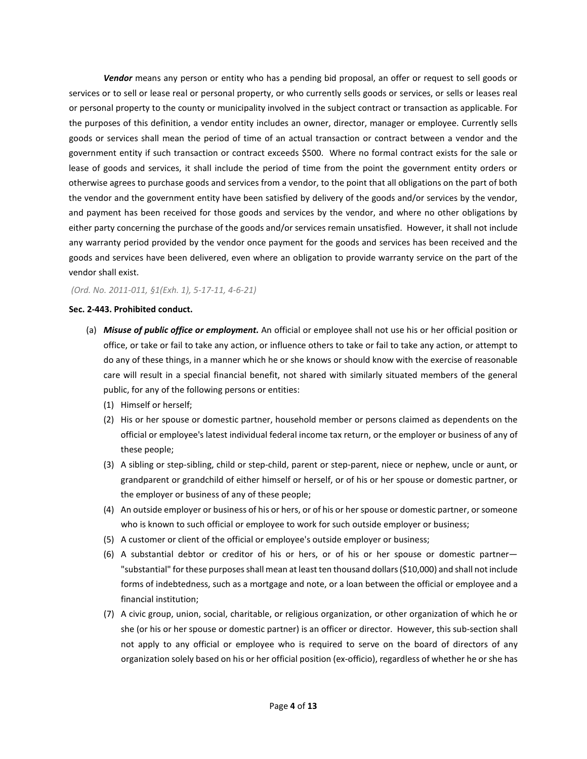*Vendor* means any person or entity who has a pending bid proposal, an offer or request to sell goods or services or to sell or lease real or personal property, or who currently sells goods or services, or sells or leases real or personal property to the county or municipality involved in the subject contract or transaction as applicable. For the purposes of this definition, a vendor entity includes an owner, director, manager or employee. Currently sells goods or services shall mean the period of time of an actual transaction or contract between a vendor and the government entity if such transaction or contract exceeds \$500. Where no formal contract exists for the sale or lease of goods and services, it shall include the period of time from the point the government entity orders or otherwise agrees to purchase goods and services from a vendor, to the point that all obligations on the part of both the vendor and the government entity have been satisfied by delivery of the goods and/or services by the vendor, and payment has been received for those goods and services by the vendor, and where no other obligations by either party concerning the purchase of the goods and/or services remain unsatisfied. However, it shall not include any warranty period provided by the vendor once payment for the goods and services has been received and the goods and services have been delivered, even where an obligation to provide warranty service on the part of the vendor shall exist.

## *(Ord. No. 2011-011, §1(Exh. 1), 5-17-11, 4-6-21)*

## **Sec. 2-443. Prohibited conduct.**

- (a) *Misuse of public office or employment.* An official or employee shall not use his or her official position or office, or take or fail to take any action, or influence others to take or fail to take any action, or attempt to do any of these things, in a manner which he or she knows or should know with the exercise of reasonable care will result in a special financial benefit, not shared with similarly situated members of the general public, for any of the following persons or entities:
	- (1) Himself or herself;
	- (2) His or her spouse or domestic partner, household member or persons claimed as dependents on the official or employee's latest individual federal income tax return, or the employer or business of any of these people;
	- (3) A sibling or step-sibling, child or step-child, parent or step-parent, niece or nephew, uncle or aunt, or grandparent or grandchild of either himself or herself, or of his or her spouse or domestic partner, or the employer or business of any of these people;
	- (4) An outside employer or business of his or hers, or of his or her spouse or domestic partner, or someone who is known to such official or employee to work for such outside employer or business;
	- (5) A customer or client of the official or employee's outside employer or business;
	- (6) A substantial debtor or creditor of his or hers, or of his or her spouse or domestic partner— "substantial" forthese purposesshall mean at least ten thousand dollars(\$10,000) and shall not include forms of indebtedness, such as a mortgage and note, or a loan between the official or employee and a financial institution;
	- (7) A civic group, union, social, charitable, or religious organization, or other organization of which he or she (or his or her spouse or domestic partner) is an officer or director. However, this sub-section shall not apply to any official or employee who is required to serve on the board of directors of any organization solely based on his or her official position (ex-officio), regardless of whether he or she has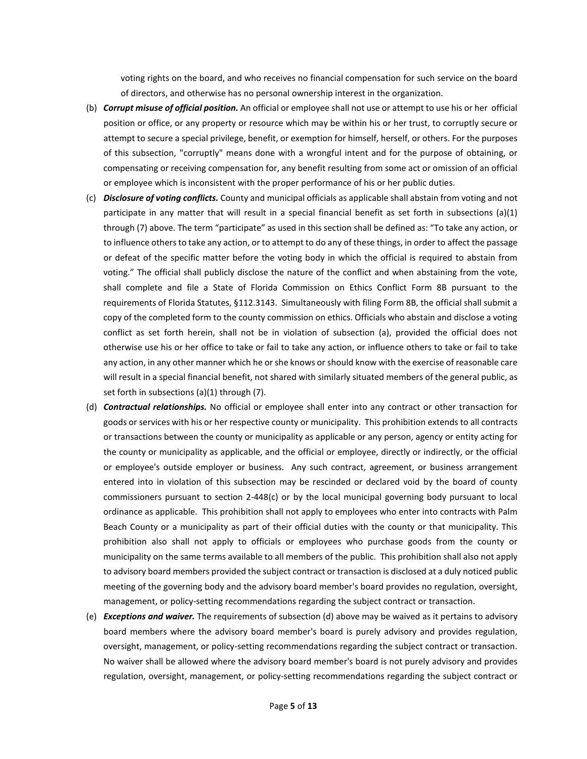voting rights on the board, and who receives no financial compensation for such service on the board of directors, and otherwise has no personal ownership interest in the organization.

- (b) *Corrupt misuse of official position.* An official or employee shall not use or attempt to use his or her official position or office, or any property or resource which may be within his or her trust, to corruptly secure or attempt to secure a special privilege, benefit, or exemption for himself, herself, or others. For the purposes of this subsection, "corruptly" means done with a wrongful intent and for the purpose of obtaining, or compensating or receiving compensation for, any benefit resulting from some act or omission of an official or employee which is inconsistent with the proper performance of his or her public duties.
- (c) *Disclosure of voting conflicts.* County and municipal officials as applicable shall abstain from voting and not participate in any matter that will result in a special financial benefit as set forth in subsections (a)(1) through (7) above. The term "participate" as used in this section shall be defined as: "To take any action, or to influence othersto take any action, or to attempt to do any of these things, in order to affect the passage or defeat of the specific matter before the voting body in which the official is required to abstain from voting." The official shall publicly disclose the nature of the conflict and when abstaining from the vote, shall complete and file a State of Florida Commission on Ethics Conflict Form 8B pursuant to the requirements of Florida Statutes, §112.3143. Simultaneously with filing Form 8B, the official shall submit a copy of the completed form to the county commission on ethics. Officials who abstain and disclose a voting conflict as set forth herein, shall not be in violation of subsection (a), provided the official does not otherwise use his or her office to take or fail to take any action, or influence others to take or fail to take any action, in any other manner which he orshe knows or should know with the exercise of reasonable care will result in a special financial benefit, not shared with similarly situated members of the general public, as set forth in subsections (a)(1) through (7).
- (d) *Contractual relationships.* No official or employee shall enter into any contract or other transaction for goods or services with his or her respective county or municipality. This prohibition extends to all contracts or transactions between the county or municipality as applicable or any person, agency or entity acting for the county or municipality as applicable, and the official or employee, directly or indirectly, or the official or employee's outside employer or business. Any such contract, agreement, or business arrangement entered into in violation of this subsection may be rescinded or declared void by the board of county commissioners pursuant to section 2-448(c) or by the local municipal governing body pursuant to local ordinance as applicable. This prohibition shall not apply to employees who enter into contracts with Palm Beach County or a municipality as part of their official duties with the county or that municipality. This prohibition also shall not apply to officials or employees who purchase goods from the county or municipality on the same terms available to all members of the public. This prohibition shall also not apply to advisory board members provided the subject contract or transaction is disclosed at a duly noticed public meeting of the governing body and the advisory board member's board provides no regulation, oversight, management, or policy-setting recommendations regarding the subject contract or transaction.
- (e) *Exceptions and waiver.* The requirements of subsection (d) above may be waived as it pertains to advisory board members where the advisory board member's board is purely advisory and provides regulation, oversight, management, or policy-setting recommendations regarding the subject contract or transaction. No waiver shall be allowed where the advisory board member's board is not purely advisory and provides regulation, oversight, management, or policy-setting recommendations regarding the subject contract or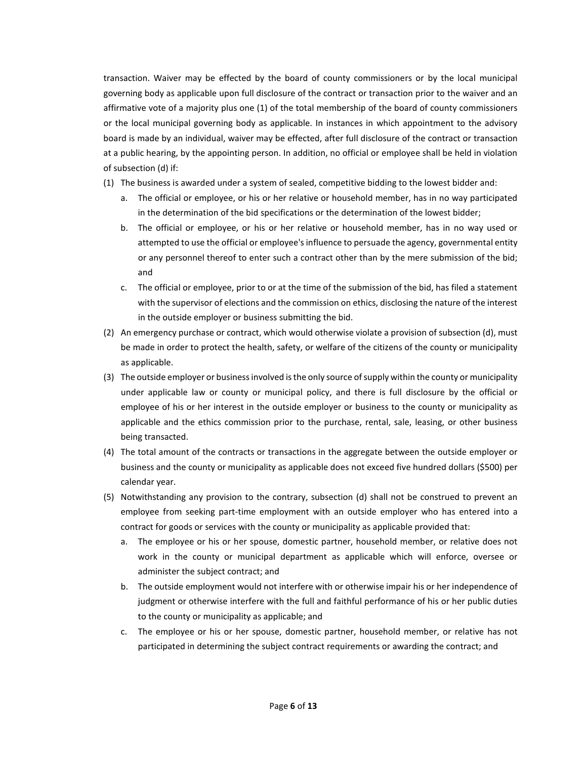transaction. Waiver may be effected by the board of county commissioners or by the local municipal governing body as applicable upon full disclosure of the contract or transaction prior to the waiver and an affirmative vote of a majority plus one (1) of the total membership of the board of county commissioners or the local municipal governing body as applicable. In instances in which appointment to the advisory board is made by an individual, waiver may be effected, after full disclosure of the contract or transaction at a public hearing, by the appointing person. In addition, no official or employee shall be held in violation of subsection (d) if:

- (1) The business is awarded under a system of sealed, competitive bidding to the lowest bidder and:
	- a. The official or employee, or his or her relative or household member, has in no way participated in the determination of the bid specifications or the determination of the lowest bidder;
	- b. The official or employee, or his or her relative or household member, has in no way used or attempted to use the official or employee's influence to persuade the agency, governmental entity or any personnel thereof to enter such a contract other than by the mere submission of the bid; and
	- c. The official or employee, prior to or at the time of the submission of the bid, has filed a statement with the supervisor of elections and the commission on ethics, disclosing the nature of the interest in the outside employer or business submitting the bid.
- (2) An emergency purchase or contract, which would otherwise violate a provision of subsection (d), must be made in order to protect the health, safety, or welfare of the citizens of the county or municipality as applicable.
- (3) The outside employer or businessinvolved isthe only source ofsupply within the county or municipality under applicable law or county or municipal policy, and there is full disclosure by the official or employee of his or her interest in the outside employer or business to the county or municipality as applicable and the ethics commission prior to the purchase, rental, sale, leasing, or other business being transacted.
- (4) The total amount of the contracts or transactions in the aggregate between the outside employer or business and the county or municipality as applicable does not exceed five hundred dollars (\$500) per calendar year.
- (5) Notwithstanding any provision to the contrary, subsection (d) shall not be construed to prevent an employee from seeking part-time employment with an outside employer who has entered into a contract for goods or services with the county or municipality as applicable provided that:
	- a. The employee or his or her spouse, domestic partner, household member, or relative does not work in the county or municipal department as applicable which will enforce, oversee or administer the subject contract; and
	- b. The outside employment would not interfere with or otherwise impair his or her independence of judgment or otherwise interfere with the full and faithful performance of his or her public duties to the county or municipality as applicable; and
	- c. The employee or his or her spouse, domestic partner, household member, or relative has not participated in determining the subject contract requirements or awarding the contract; and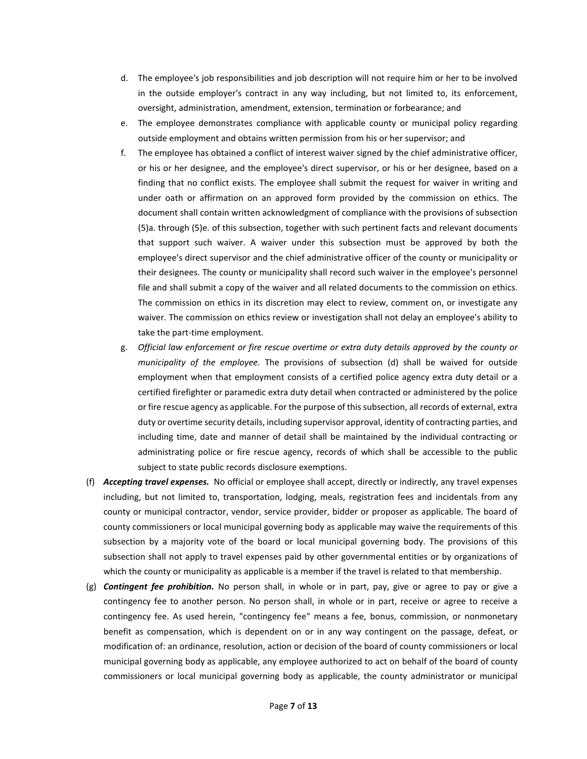- d. The employee's job responsibilities and job description will not require him or her to be involved in the outside employer's contract in any way including, but not limited to, its enforcement, oversight, administration, amendment, extension, termination or forbearance; and
- e. The employee demonstrates compliance with applicable county or municipal policy regarding outside employment and obtains written permission from his or her supervisor; and
- f. The employee has obtained a conflict of interest waiver signed by the chief administrative officer, or his or her designee, and the employee's direct supervisor, or his or her designee, based on a finding that no conflict exists. The employee shall submit the request for waiver in writing and under oath or affirmation on an approved form provided by the commission on ethics. The document shall contain written acknowledgment of compliance with the provisions of subsection (5)a. through (5)e. of this subsection, together with such pertinent facts and relevant documents that support such waiver. A waiver under this subsection must be approved by both the employee's direct supervisor and the chief administrative officer of the county or municipality or their designees. The county or municipality shall record such waiver in the employee's personnel file and shall submit a copy of the waiver and all related documents to the commission on ethics. The commission on ethics in its discretion may elect to review, comment on, or investigate any waiver. The commission on ethics review or investigation shall not delay an employee's ability to take the part-time employment.
- g. *Official law enforcement or fire rescue overtime or extra duty details approved by the county or municipality of the employee.* The provisions of subsection (d) shall be waived for outside employment when that employment consists of a certified police agency extra duty detail or a certified firefighter or paramedic extra duty detail when contracted or administered by the police or fire rescue agency as applicable. For the purpose of thissubsection, all records of external, extra duty or overtime security details, including supervisor approval, identity of contracting parties, and including time, date and manner of detail shall be maintained by the individual contracting or administrating police or fire rescue agency, records of which shall be accessible to the public subject to state public records disclosure exemptions.
- (f) *Accepting travel expenses.* No official or employee shall accept, directly or indirectly, any travel expenses including, but not limited to, transportation, lodging, meals, registration fees and incidentals from any county or municipal contractor, vendor, service provider, bidder or proposer as applicable. The board of county commissioners or local municipal governing body as applicable may waive the requirements of this subsection by a majority vote of the board or local municipal governing body. The provisions of this subsection shall not apply to travel expenses paid by other governmental entities or by organizations of which the county or municipality as applicable is a member if the travel is related to that membership.
- (g) *Contingent fee prohibition.* No person shall, in whole or in part, pay, give or agree to pay or give a contingency fee to another person. No person shall, in whole or in part, receive or agree to receive a contingency fee. As used herein, "contingency fee" means a fee, bonus, commission, or nonmonetary benefit as compensation, which is dependent on or in any way contingent on the passage, defeat, or modification of: an ordinance, resolution, action or decision of the board of county commissioners or local municipal governing body as applicable, any employee authorized to act on behalf of the board of county commissioners or local municipal governing body as applicable, the county administrator or municipal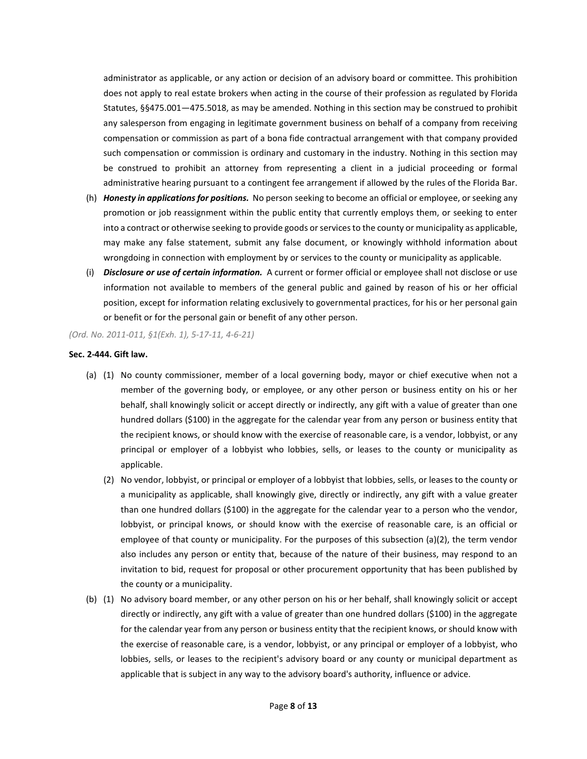administrator as applicable, or any action or decision of an advisory board or committee. This prohibition does not apply to real estate brokers when acting in the course of their profession as regulated by Florida Statutes, §§475.001—475.5018, as may be amended. Nothing in this section may be construed to prohibit any salesperson from engaging in legitimate government business on behalf of a company from receiving compensation or commission as part of a bona fide contractual arrangement with that company provided such compensation or commission is ordinary and customary in the industry. Nothing in this section may be construed to prohibit an attorney from representing a client in a judicial proceeding or formal administrative hearing pursuant to a contingent fee arrangement if allowed by the rules of the Florida Bar.

- (h) *Honesty in applicationsfor positions.* No person seeking to become an official or employee, orseeking any promotion or job reassignment within the public entity that currently employs them, or seeking to enter into a contract or otherwise seeking to provide goods or services to the county or municipality as applicable, may make any false statement, submit any false document, or knowingly withhold information about wrongdoing in connection with employment by or services to the county or municipality as applicable.
- (i) *Disclosure or use of certain information.* A current or former official or employee shall not disclose or use information not available to members of the general public and gained by reason of his or her official position, except for information relating exclusively to governmental practices, for his or her personal gain or benefit or for the personal gain or benefit of any other person.

## *(Ord. No. 2011-011, §1(Exh. 1), 5-17-11, 4-6-21)*

## **Sec. 2-444. Gift law.**

- (a) (1) No county commissioner, member of a local governing body, mayor or chief executive when not a member of the governing body, or employee, or any other person or business entity on his or her behalf, shall knowingly solicit or accept directly or indirectly, any gift with a value of greater than one hundred dollars (\$100) in the aggregate for the calendar year from any person or business entity that the recipient knows, or should know with the exercise of reasonable care, is a vendor, lobbyist, or any principal or employer of a lobbyist who lobbies, sells, or leases to the county or municipality as applicable.
	- (2) No vendor, lobbyist, or principal or employer of a lobbyist that lobbies, sells, or leases to the county or a municipality as applicable, shall knowingly give, directly or indirectly, any gift with a value greater than one hundred dollars (\$100) in the aggregate for the calendar year to a person who the vendor, lobbyist, or principal knows, or should know with the exercise of reasonable care, is an official or employee of that county or municipality. For the purposes of this subsection (a)(2), the term vendor also includes any person or entity that, because of the nature of their business, may respond to an invitation to bid, request for proposal or other procurement opportunity that has been published by the county or a municipality.
- (b) (1) No advisory board member, or any other person on his or her behalf, shall knowingly solicit or accept directly or indirectly, any gift with a value of greater than one hundred dollars (\$100) in the aggregate for the calendar year from any person or business entity that the recipient knows, or should know with the exercise of reasonable care, is a vendor, lobbyist, or any principal or employer of a lobbyist, who lobbies, sells, or leases to the recipient's advisory board or any county or municipal department as applicable that is subject in any way to the advisory board's authority, influence or advice.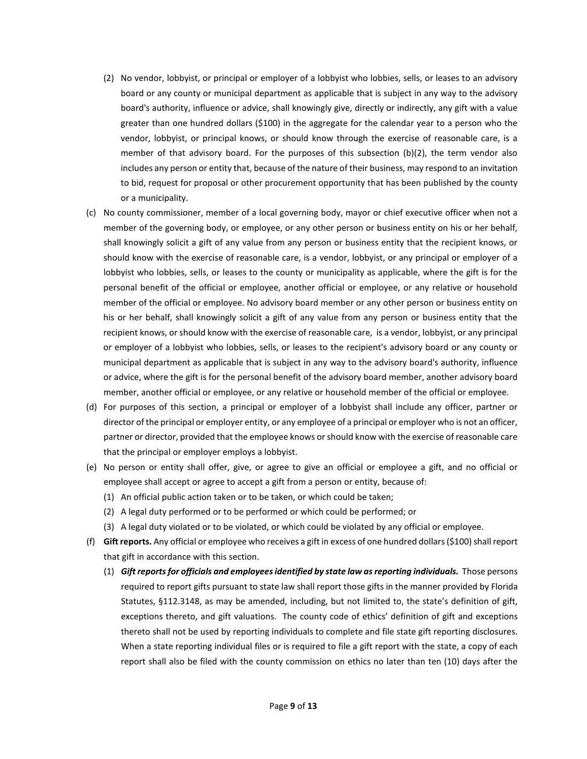- (2) No vendor, lobbyist, or principal or employer of a lobbyist who lobbies, sells, or leases to an advisory board or any county or municipal department as applicable that is subject in any way to the advisory board's authority, influence or advice, shall knowingly give, directly or indirectly, any gift with a value greater than one hundred dollars (\$100) in the aggregate for the calendar year to a person who the vendor, lobbyist, or principal knows, or should know through the exercise of reasonable care, is a member of that advisory board. For the purposes of this subsection (b)(2), the term vendor also includes any person or entity that, because of the nature of their business, may respond to an invitation to bid, request for proposal or other procurement opportunity that has been published by the county or a municipality.
- (c) No county commissioner, member of a local governing body, mayor or chief executive officer when not a member of the governing body, or employee, or any other person or business entity on his or her behalf, shall knowingly solicit a gift of any value from any person or business entity that the recipient knows, or should know with the exercise of reasonable care, is a vendor, lobbyist, or any principal or employer of a lobbyist who lobbies, sells, or leases to the county or municipality as applicable, where the gift is for the personal benefit of the official or employee, another official or employee, or any relative or household member of the official or employee. No advisory board member or any other person or business entity on his or her behalf, shall knowingly solicit a gift of any value from any person or business entity that the recipient knows, or should know with the exercise of reasonable care, is a vendor, lobbyist, or any principal or employer of a lobbyist who lobbies, sells, or leases to the recipient's advisory board or any county or municipal department as applicable that is subject in any way to the advisory board's authority, influence or advice, where the gift is for the personal benefit of the advisory board member, another advisory board member, another official or employee, or any relative or household member of the official or employee.
- (d) For purposes of this section, a principal or employer of a lobbyist shall include any officer, partner or director of the principal or employer entity, or any employee of a principal or employer who is not an officer, partner or director, provided that the employee knows orshould know with the exercise of reasonable care that the principal or employer employs a lobbyist.
- (e) No person or entity shall offer, give, or agree to give an official or employee a gift, and no official or employee shall accept or agree to accept a gift from a person or entity, because of:
	- (1) An official public action taken or to be taken, or which could be taken;
	- (2) A legal duty performed or to be performed or which could be performed; or
	- (3) A legal duty violated or to be violated, or which could be violated by any official or employee.
- (f) Gift reports. Any official or employee who receives a gift in excess of one hundred dollars  $(\$100)$  shall report that gift in accordance with this section.
	- (1) *Gift reportsfor officials and employeesidentified by state law asreporting individuals.* Those persons required to report gifts pursuant to state law shall report those gifts in the manner provided by Florida Statutes, §112.3148, as may be amended, including, but not limited to, the state's definition of gift, exceptions thereto, and gift valuations. The county code of ethics' definition of gift and exceptions thereto shall not be used by reporting individuals to complete and file state gift reporting disclosures. When a state reporting individual files or is required to file a gift report with the state, a copy of each report shall also be filed with the county commission on ethics no later than ten (10) days after the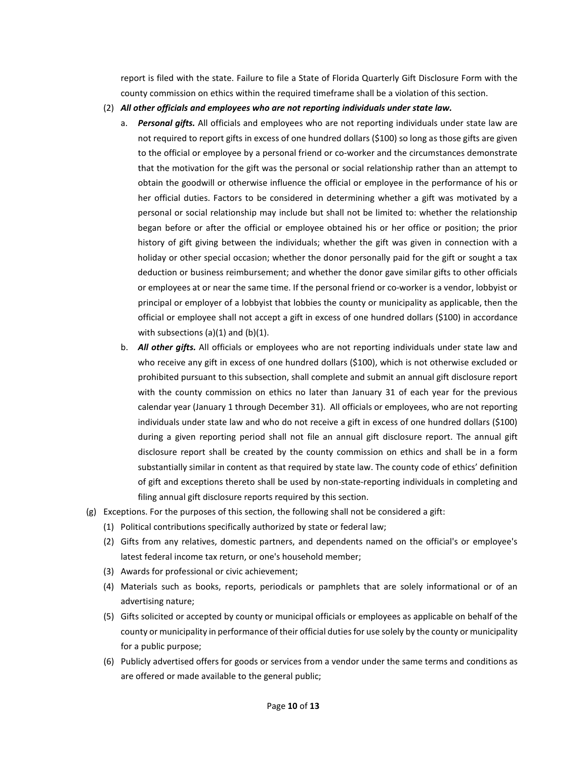report is filed with the state. Failure to file a State of Florida Quarterly Gift Disclosure Form with the county commission on ethics within the required timeframe shall be a violation of this section.

- (2) *All other officials and employees who are not reporting individuals under state law.*
	- a. *Personal gifts.* All officials and employees who are not reporting individuals under state law are not required to report gifts in excess of one hundred dollars (\$100) so long as those gifts are given to the official or employee by a personal friend or co-worker and the circumstances demonstrate that the motivation for the gift was the personal or social relationship rather than an attempt to obtain the goodwill or otherwise influence the official or employee in the performance of his or her official duties. Factors to be considered in determining whether a gift was motivated by a personal or social relationship may include but shall not be limited to: whether the relationship began before or after the official or employee obtained his or her office or position; the prior history of gift giving between the individuals; whether the gift was given in connection with a holiday or other special occasion; whether the donor personally paid for the gift or sought a tax deduction or business reimbursement; and whether the donor gave similar gifts to other officials or employees at or near the same time. If the personal friend or co-worker is a vendor, lobbyist or principal or employer of a lobbyist that lobbies the county or municipality as applicable, then the official or employee shall not accept a gift in excess of one hundred dollars (\$100) in accordance with subsections  $(a)(1)$  and  $(b)(1)$ .
	- b. *All other gifts.* All officials or employees who are not reporting individuals under state law and who receive any gift in excess of one hundred dollars (\$100), which is not otherwise excluded or prohibited pursuant to this subsection, shall complete and submit an annual gift disclosure report with the county commission on ethics no later than January 31 of each year for the previous calendar year (January 1 through December 31). All officials or employees, who are not reporting individuals under state law and who do not receive a gift in excess of one hundred dollars (\$100) during a given reporting period shall not file an annual gift disclosure report. The annual gift disclosure report shall be created by the county commission on ethics and shall be in a form substantially similar in content as that required by state law. The county code of ethics' definition of gift and exceptions thereto shall be used by non-state-reporting individuals in completing and filing annual gift disclosure reports required by this section.
- (g) Exceptions. For the purposes of this section, the following shall not be considered a gift:
	- (1) Political contributions specifically authorized by state or federal law;
	- (2) Gifts from any relatives, domestic partners, and dependents named on the official's or employee's latest federal income tax return, or one's household member;
	- (3) Awards for professional or civic achievement;
	- (4) Materials such as books, reports, periodicals or pamphlets that are solely informational or of an advertising nature;
	- (5) Gifts solicited or accepted by county or municipal officials or employees as applicable on behalf of the county or municipality in performance of their official duties for use solely by the county or municipality for a public purpose;
	- (6) Publicly advertised offers for goods or services from a vendor under the same terms and conditions as are offered or made available to the general public;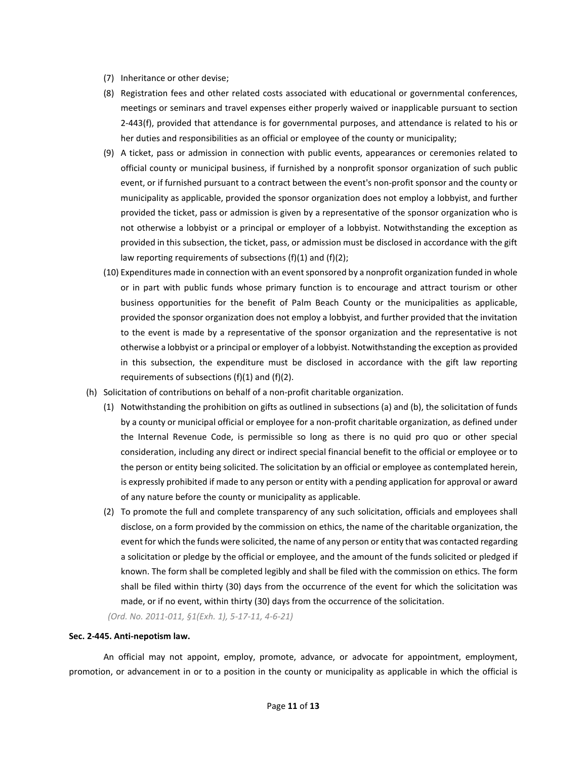- (7) Inheritance or other devise;
- (8) Registration fees and other related costs associated with educational or governmental conferences, meetings or seminars and travel expenses either properly waived or inapplicable pursuant to section 2-443(f), provided that attendance is for governmental purposes, and attendance is related to his or her duties and responsibilities as an official or employee of the county or municipality;
- (9) A ticket, pass or admission in connection with public events, appearances or ceremonies related to official county or municipal business, if furnished by a nonprofit sponsor organization of such public event, or if furnished pursuant to a contract between the event's non-profit sponsor and the county or municipality as applicable, provided the sponsor organization does not employ a lobbyist, and further provided the ticket, pass or admission is given by a representative of the sponsor organization who is not otherwise a lobbyist or a principal or employer of a lobbyist. Notwithstanding the exception as provided in this subsection, the ticket, pass, or admission must be disclosed in accordance with the gift law reporting requirements of subsections (f)(1) and (f)(2);
- (10) Expenditures made in connection with an eventsponsored by a nonprofit organization funded in whole or in part with public funds whose primary function is to encourage and attract tourism or other business opportunities for the benefit of Palm Beach County or the municipalities as applicable, provided the sponsor organization does not employ a lobbyist, and further provided that the invitation to the event is made by a representative of the sponsor organization and the representative is not otherwise a lobbyist or a principal or employer of a lobbyist. Notwithstanding the exception as provided in this subsection, the expenditure must be disclosed in accordance with the gift law reporting requirements of subsections (f)(1) and (f)(2).
- (h) Solicitation of contributions on behalf of a non-profit charitable organization.
	- (1) Notwithstanding the prohibition on gifts as outlined in subsections (a) and (b), the solicitation of funds by a county or municipal official or employee for a non-profit charitable organization, as defined under the Internal Revenue Code, is permissible so long as there is no quid pro quo or other special consideration, including any direct or indirect special financial benefit to the official or employee or to the person or entity being solicited. The solicitation by an official or employee as contemplated herein, is expressly prohibited if made to any person or entity with a pending application for approval or award of any nature before the county or municipality as applicable.
	- (2) To promote the full and complete transparency of any such solicitation, officials and employees shall disclose, on a form provided by the commission on ethics, the name of the charitable organization, the event for which the funds were solicited, the name of any person or entity that was contacted regarding a solicitation or pledge by the official or employee, and the amount of the funds solicited or pledged if known. The form shall be completed legibly and shall be filed with the commission on ethics. The form shall be filed within thirty (30) days from the occurrence of the event for which the solicitation was made, or if no event, within thirty (30) days from the occurrence of the solicitation.

*(Ord. No. 2011-011, §1(Exh. 1), 5-17-11, 4-6-21)*

## **Sec. 2-445. Anti-nepotism law.**

An official may not appoint, employ, promote, advance, or advocate for appointment, employment, promotion, or advancement in or to a position in the county or municipality as applicable in which the official is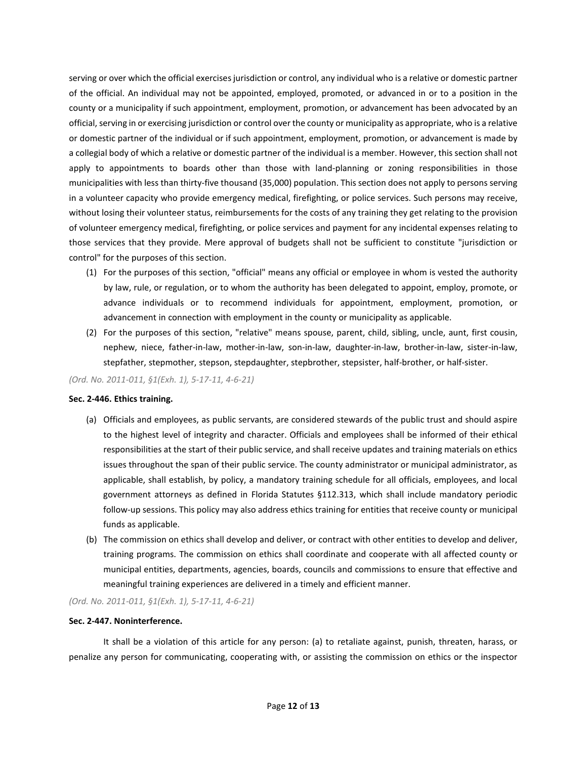serving or over which the official exercises jurisdiction or control, any individual who is a relative or domestic partner of the official. An individual may not be appointed, employed, promoted, or advanced in or to a position in the county or a municipality if such appointment, employment, promotion, or advancement has been advocated by an official, serving in or exercising jurisdiction or control over the county or municipality as appropriate, who is a relative or domestic partner of the individual or if such appointment, employment, promotion, or advancement is made by a collegial body of which a relative or domestic partner of the individual is a member. However, this section shall not apply to appointments to boards other than those with land-planning or zoning responsibilities in those municipalities with less than thirty-five thousand (35,000) population. This section does not apply to persons serving in a volunteer capacity who provide emergency medical, firefighting, or police services. Such persons may receive, without losing their volunteer status, reimbursements for the costs of any training they get relating to the provision of volunteer emergency medical, firefighting, or police services and payment for any incidental expenses relating to those services that they provide. Mere approval of budgets shall not be sufficient to constitute "jurisdiction or control" for the purposes of this section.

- (1) For the purposes of this section, "official" means any official or employee in whom is vested the authority by law, rule, or regulation, or to whom the authority has been delegated to appoint, employ, promote, or advance individuals or to recommend individuals for appointment, employment, promotion, or advancement in connection with employment in the county or municipality as applicable.
- (2) For the purposes of this section, "relative" means spouse, parent, child, sibling, uncle, aunt, first cousin, nephew, niece, father-in-law, mother-in-law, son-in-law, daughter-in-law, brother-in-law, sister-in-law, stepfather, stepmother, stepson, stepdaughter, stepbrother, stepsister, half-brother, or half-sister.

*(Ord. No. 2011-011, §1(Exh. 1), 5-17-11, 4-6-21)*

## **Sec. 2-446. Ethics training.**

- (a) Officials and employees, as public servants, are considered stewards of the public trust and should aspire to the highest level of integrity and character. Officials and employees shall be informed of their ethical responsibilities at the start of their public service, and shall receive updates and training materials on ethics issues throughout the span of their public service. The county administrator or municipal administrator, as applicable, shall establish, by policy, a mandatory training schedule for all officials, employees, and local government attorneys as defined in Florida Statutes §112.313, which shall include mandatory periodic follow-up sessions. This policy may also address ethics training for entities that receive county or municipal funds as applicable.
- (b) The commission on ethics shall develop and deliver, or contract with other entities to develop and deliver, training programs. The commission on ethics shall coordinate and cooperate with all affected county or municipal entities, departments, agencies, boards, councils and commissions to ensure that effective and meaningful training experiences are delivered in a timely and efficient manner.

*(Ord. No. 2011-011, §1(Exh. 1), 5-17-11, 4-6-21)*

## **Sec. 2-447. Noninterference.**

It shall be a violation of this article for any person: (a) to retaliate against, punish, threaten, harass, or penalize any person for communicating, cooperating with, or assisting the commission on ethics or the inspector